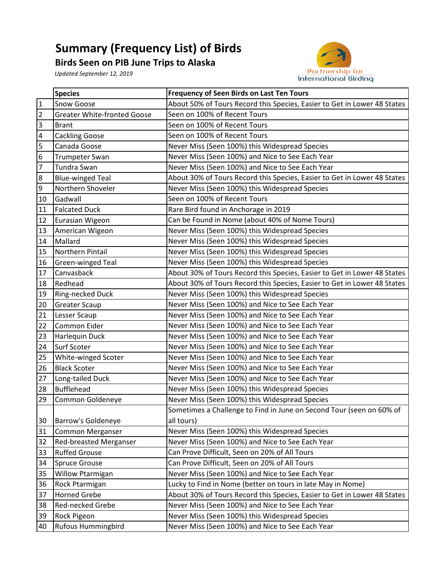## **Summary (Frequency List) of Birds**

**Birds Seen on PIB June Trips to Alaska**

*Updated September 12, 2019*



|                         | <b>Species</b>                     | Frequency of Seen Birds on Last Ten Tours                                |
|-------------------------|------------------------------------|--------------------------------------------------------------------------|
| $\mathbf{1}$            | Snow Goose                         | About 50% of Tours Record this Species, Easier to Get in Lower 48 States |
| $\overline{2}$          | <b>Greater White-fronted Goose</b> | Seen on 100% of Recent Tours                                             |
| $\overline{3}$          | <b>Brant</b>                       | Seen on 100% of Recent Tours                                             |
| $\overline{\mathbf{4}}$ | <b>Cackling Goose</b>              | Seen on 100% of Recent Tours                                             |
| 5                       | Canada Goose                       | Never Miss (Seen 100%) this Widespread Species                           |
| $\boldsymbol{6}$        | Trumpeter Swan                     | Never Miss (Seen 100%) and Nice to See Each Year                         |
| 7                       | Tundra Swan                        | Never Miss (Seen 100%) and Nice to See Each Year                         |
| $\overline{8}$          | <b>Blue-winged Teal</b>            | About 30% of Tours Record this Species, Easier to Get in Lower 48 States |
| $\overline{9}$          | Northern Shoveler                  | Never Miss (Seen 100%) this Widespread Species                           |
| 10                      | Gadwall                            | Seen on 100% of Recent Tours                                             |
| 11                      | <b>Falcated Duck</b>               | Rare Bird found in Anchorage in 2019                                     |
| 12                      | Eurasian Wigeon                    | Can be Found in Nome (about 40% of Nome Tours)                           |
| 13                      | American Wigeon                    | Never Miss (Seen 100%) this Widespread Species                           |
| 14                      | Mallard                            | Never Miss (Seen 100%) this Widespread Species                           |
| 15                      | Northern Pintail                   | Never Miss (Seen 100%) this Widespread Species                           |
| 16                      | Green-winged Teal                  | Never Miss (Seen 100%) this Widespread Species                           |
| 17                      | Canvasback                         | About 30% of Tours Record this Species, Easier to Get in Lower 48 States |
| 18                      | Redhead                            | About 30% of Tours Record this Species, Easier to Get in Lower 48 States |
| 19                      | Ring-necked Duck                   | Never Miss (Seen 100%) this Widespread Species                           |
| 20                      | <b>Greater Scaup</b>               | Never Miss (Seen 100%) and Nice to See Each Year                         |
| 21                      | Lesser Scaup                       | Never Miss (Seen 100%) and Nice to See Each Year                         |
| 22                      | Common Eider                       | Never Miss (Seen 100%) and Nice to See Each Year                         |
| 23                      | <b>Harlequin Duck</b>              | Never Miss (Seen 100%) and Nice to See Each Year                         |
| 24                      | Surf Scoter                        | Never Miss (Seen 100%) and Nice to See Each Year                         |
| 25                      | White-winged Scoter                | Never Miss (Seen 100%) and Nice to See Each Year                         |
| 26                      | <b>Black Scoter</b>                | Never Miss (Seen 100%) and Nice to See Each Year                         |
| 27                      | Long-tailed Duck                   | Never Miss (Seen 100%) and Nice to See Each Year                         |
| 28                      | <b>Bufflehead</b>                  | Never Miss (Seen 100%) this Widespread Species                           |
| 29                      | Common Goldeneye                   | Never Miss (Seen 100%) this Widespread Species                           |
|                         |                                    | Sometimes a Challenge to Find in June on Second Tour (seen on 60% of     |
| 30                      | <b>Barrow's Goldeneye</b>          | all tours)                                                               |
| 31                      | <b>Common Merganser</b>            | Never Miss (Seen 100%) this Widespread Species                           |
| 32                      | Red-breasted Merganser             | Never Miss (Seen 100%) and Nice to See Each Year                         |
| 33                      | <b>Ruffed Grouse</b>               | Can Prove Difficult, Seen on 20% of All Tours                            |
| 34                      | <b>Spruce Grouse</b>               | Can Prove Difficult, Seen on 20% of All Tours                            |
| 35                      | Willow Ptarmigan                   | Never Miss (Seen 100%) and Nice to See Each Year                         |
| 36                      | Rock Ptarmigan                     | Lucky to Find in Nome (better on tours in late May in Nome)              |
| 37                      | <b>Horned Grebe</b>                | About 30% of Tours Record this Species, Easier to Get in Lower 48 States |
| 38                      | Red-necked Grebe                   | Never Miss (Seen 100%) and Nice to See Each Year                         |
| 39                      | Rock Pigeon                        | Never Miss (Seen 100%) this Widespread Species                           |
| 40                      | <b>Rufous Hummingbird</b>          | Never Miss (Seen 100%) and Nice to See Each Year                         |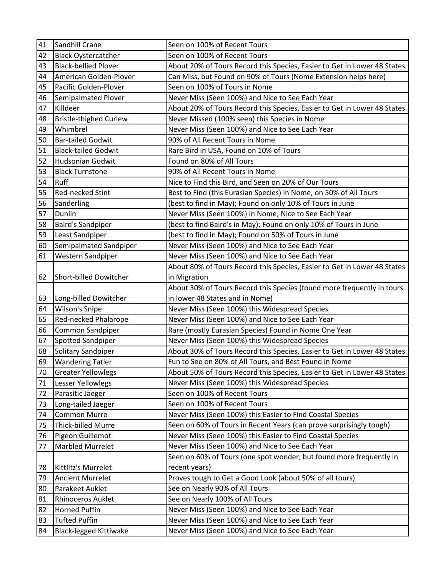| 41 | Sandhill Crane                | Seen on 100% of Recent Tours                                             |
|----|-------------------------------|--------------------------------------------------------------------------|
| 42 | <b>Black Oystercatcher</b>    | Seen on 100% of Recent Tours                                             |
| 43 | <b>Black-bellied Plover</b>   | About 20% of Tours Record this Species, Easier to Get in Lower 48 States |
| 44 | American Golden-Plover        | Can Miss, but Found on 90% of Tours (Nome Extension helps here)          |
| 45 | Pacific Golden-Plover         | Seen on 100% of Tours in Nome                                            |
| 46 | <b>Semipalmated Plover</b>    | Never Miss (Seen 100%) and Nice to See Each Year                         |
| 47 | Killdeer                      | About 20% of Tours Record this Species, Easier to Get in Lower 48 States |
| 48 | <b>Bristle-thighed Curlew</b> | Never Missed (100% seen) this Species in Nome                            |
| 49 | Whimbrel                      | Never Miss (Seen 100%) and Nice to See Each Year                         |
| 50 | <b>Bar-tailed Godwit</b>      | 90% of All Recent Tours in Nome                                          |
| 51 | <b>Black-tailed Godwit</b>    | Rare Bird in USA, Found on 10% of Tours                                  |
| 52 | <b>Hudsonian Godwit</b>       | Found on 80% of All Tours                                                |
| 53 | <b>Black Turnstone</b>        | 90% of All Recent Tours in Nome                                          |
| 54 | <b>Ruff</b>                   | Nice to Find this Bird, and Seen on 20% of Our Tours                     |
| 55 | Red-necked Stint              | Best to Find (this Eurasian Species) in Nome, on 50% of All Tours        |
| 56 | Sanderling                    | (best to find in May); Found on only 10% of Tours in June                |
| 57 | Dunlin                        | Never Miss (Seen 100%) in Nome; Nice to See Each Year                    |
| 58 | <b>Baird's Sandpiper</b>      | (best to find Baird's in May); Found on only 10% of Tours in June        |
| 59 | Least Sandpiper               | (best to find in May); Found on 50% of Tours in June                     |
| 60 | Semipalmated Sandpiper        | Never Miss (Seen 100%) and Nice to See Each Year                         |
| 61 | Western Sandpiper             | Never Miss (Seen 100%) and Nice to See Each Year                         |
|    |                               | About 80% of Tours Record this Species, Easier to Get in Lower 48 States |
| 62 | Short-billed Dowitcher        | in Migration                                                             |
|    |                               | About 30% of Tours Record this Species (found more frequently in tours   |
| 63 | Long-billed Dowitcher         | in lower 48 States and in Nome)                                          |
| 64 | Wilson's Snipe                | Never Miss (Seen 100%) this Widespread Species                           |
| 65 | Red-necked Phalarope          | Never Miss (Seen 100%) and Nice to See Each Year                         |
| 66 | Common Sandpiper              | Rare (mostly Eurasian Species) Found in Nome One Year                    |
| 67 | Spotted Sandpiper             | Never Miss (Seen 100%) this Widespread Species                           |
| 68 | Solitary Sandpiper            | About 30% of Tours Record this Species, Easier to Get in Lower 48 States |
| 69 | <b>Wandering Tatler</b>       | Fun to See on 80% of All Tours, and Best Found in Nome                   |
| 70 | <b>Greater Yellowlegs</b>     | About 50% of Tours Record this Species, Easier to Get in Lower 48 States |
| 71 | Lesser Yellowlegs             | Never Miss (Seen 100%) this Widespread Species                           |
| 72 | Parasitic Jaeger              | Seen on 100% of Recent Tours                                             |
| 73 | Long-tailed Jaeger            | Seen on 100% of Recent Tours                                             |
| 74 | <b>Common Murre</b>           | Never Miss (Seen 100%) this Easier to Find Coastal Species               |
| 75 | Thick-billed Murre            | Seen on 60% of Tours in Recent Years (can prove surprisingly tough)      |
| 76 | Pigeon Guillemot              | Never Miss (Seen 100%) this Easier to Find Coastal Species               |
| 77 | <b>Marbled Murrelet</b>       | Never Miss (Seen 100%) and Nice to See Each Year                         |
|    |                               | Seen on 60% of Tours (one spot wonder, but found more frequently in      |
| 78 | Kittlitz's Murrelet           | recent years)                                                            |
| 79 | <b>Ancient Murrelet</b>       | Proves tough to Get a Good Look (about 50% of all tours)                 |
| 80 | Parakeet Auklet               | See on Nearly 90% of All Tours                                           |
| 81 | <b>Rhinoceros Auklet</b>      | See on Nearly 100% of All Tours                                          |
| 82 | <b>Horned Puffin</b>          | Never Miss (Seen 100%) and Nice to See Each Year                         |
| 83 | <b>Tufted Puffin</b>          | Never Miss (Seen 100%) and Nice to See Each Year                         |
| 84 | <b>Black-legged Kittiwake</b> | Never Miss (Seen 100%) and Nice to See Each Year                         |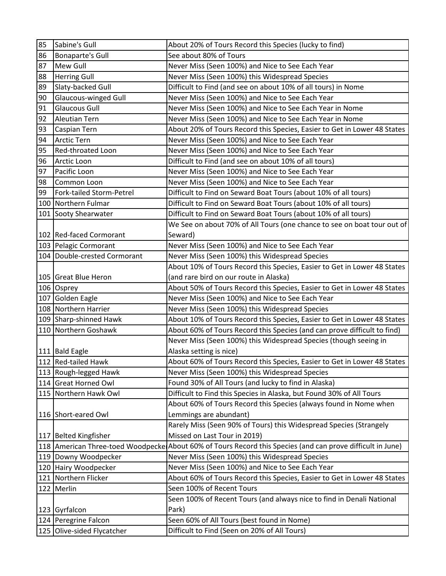| 86<br><b>Bonaparte's Gull</b><br>See about 80% of Tours<br>87<br><b>Mew Gull</b><br>Never Miss (Seen 100%) and Nice to See Each Year<br>88<br><b>Herring Gull</b><br>Never Miss (Seen 100%) this Widespread Species<br>89<br>Slaty-backed Gull<br>Difficult to Find (and see on about 10% of all tours) in Nome<br><b>Glaucous-winged Gull</b><br>90<br>Never Miss (Seen 100%) and Nice to See Each Year<br>91<br><b>Glaucous Gull</b><br>Never Miss (Seen 100%) and Nice to See Each Year in Nome<br>92<br><b>Aleutian Tern</b><br>Never Miss (Seen 100%) and Nice to See Each Year in Nome<br>93<br>Caspian Tern<br>About 20% of Tours Record this Species, Easier to Get in Lower 48 States<br>94<br>Never Miss (Seen 100%) and Nice to See Each Year<br><b>Arctic Tern</b><br>Never Miss (Seen 100%) and Nice to See Each Year<br>95<br><b>Red-throated Loon</b><br>96<br>Arctic Loon<br>Difficult to Find (and see on about 10% of all tours)<br>97<br>Pacific Loon<br>Never Miss (Seen 100%) and Nice to See Each Year<br>98<br>Common Loon<br>Never Miss (Seen 100%) and Nice to See Each Year<br>Difficult to Find on Seward Boat Tours (about 10% of all tours)<br>99<br>Fork-tailed Storm-Petrel<br>100 Northern Fulmar<br>Difficult to Find on Seward Boat Tours (about 10% of all tours)<br>101 Sooty Shearwater<br>Difficult to Find on Seward Boat Tours (about 10% of all tours)<br>Seward)<br>102 Red-faced Cormorant<br>103 Pelagic Cormorant<br>Never Miss (Seen 100%) and Nice to See Each Year<br>104 Double-crested Cormorant<br>Never Miss (Seen 100%) this Widespread Species<br>About 10% of Tours Record this Species, Easier to Get in Lower 48 States<br>(and rare bird on our route in Alaska)<br>105 Great Blue Heron<br>About 50% of Tours Record this Species, Easier to Get in Lower 48 States<br>106 Osprey<br>107 Golden Eagle<br>Never Miss (Seen 100%) and Nice to See Each Year<br>108 Northern Harrier<br>Never Miss (Seen 100%) this Widespread Species<br>109 Sharp-shinned Hawk<br>About 10% of Tours Record this Species, Easier to Get in Lower 48 States<br>110 Northern Goshawk<br>About 60% of Tours Record this Species (and can prove difficult to find)<br>Never Miss (Seen 100%) this Widespread Species (though seeing in<br>Alaska setting is nice)<br>111 Bald Eagle<br>112 Red-tailed Hawk<br>About 60% of Tours Record this Species, Easier to Get in Lower 48 States<br>113 Rough-legged Hawk<br>Never Miss (Seen 100%) this Widespread Species<br>Found 30% of All Tours (and lucky to find in Alaska)<br>114 Great Horned Owl<br>115 Northern Hawk Owl<br>Difficult to Find this Species in Alaska, but Found 30% of All Tours<br>About 60% of Tours Record this Species (always found in Nome when<br>Lemmings are abundant)<br>116 Short-eared Owl<br>Rarely Miss (Seen 90% of Tours) this Widespread Species (Strangely<br>Missed on Last Tour in 2019)<br>117 Belted Kingfisher<br>118 American Three-toed Woodpecke About 60% of Tours Record this Species (and can prove difficult in June)<br>Never Miss (Seen 100%) this Widespread Species<br>119 Downy Woodpecker<br>120 Hairy Woodpecker<br>Never Miss (Seen 100%) and Nice to See Each Year<br>121 Northern Flicker<br>About 60% of Tours Record this Species, Easier to Get in Lower 48 States<br>122 Merlin<br>Seen 100% of Recent Tours<br>Seen 100% of Recent Tours (and always nice to find in Denali National<br>Park)<br>123 Gyrfalcon<br>124 Peregrine Falcon | 85 | Sabine's Gull | About 20% of Tours Record this Species (lucky to find) |
|---------------------------------------------------------------------------------------------------------------------------------------------------------------------------------------------------------------------------------------------------------------------------------------------------------------------------------------------------------------------------------------------------------------------------------------------------------------------------------------------------------------------------------------------------------------------------------------------------------------------------------------------------------------------------------------------------------------------------------------------------------------------------------------------------------------------------------------------------------------------------------------------------------------------------------------------------------------------------------------------------------------------------------------------------------------------------------------------------------------------------------------------------------------------------------------------------------------------------------------------------------------------------------------------------------------------------------------------------------------------------------------------------------------------------------------------------------------------------------------------------------------------------------------------------------------------------------------------------------------------------------------------------------------------------------------------------------------------------------------------------------------------------------------------------------------------------------------------------------------------------------------------------------------------------------------------------------------------------------------------------------------------------------------------------------------------------------------------------------------------------------------------------------------------------------------------------------------------------------------------------------------------------------------------------------------------------------------------------------------------------------------------------------------------------------------------------------------------------------------------------------------------------------------------------------------------------------------------------------------------------------------------------------------------------------------------------------------------------------------------------------------------------------------------------------------------------------------------------------------------------------------------------------------------------------------------------------------------------------------------------------------------------------------------------------------------------------------------------------------------------------------------------------------------------------------------------------------------------------------------------------------------------------------------------------------------------------------------------------------------------------------------------------------------------------------------------------------------------------------------|----|---------------|--------------------------------------------------------|
|                                                                                                                                                                                                                                                                                                                                                                                                                                                                                                                                                                                                                                                                                                                                                                                                                                                                                                                                                                                                                                                                                                                                                                                                                                                                                                                                                                                                                                                                                                                                                                                                                                                                                                                                                                                                                                                                                                                                                                                                                                                                                                                                                                                                                                                                                                                                                                                                                                                                                                                                                                                                                                                                                                                                                                                                                                                                                                                                                                                                                                                                                                                                                                                                                                                                                                                                                                                                                                                                                             |    |               |                                                        |
|                                                                                                                                                                                                                                                                                                                                                                                                                                                                                                                                                                                                                                                                                                                                                                                                                                                                                                                                                                                                                                                                                                                                                                                                                                                                                                                                                                                                                                                                                                                                                                                                                                                                                                                                                                                                                                                                                                                                                                                                                                                                                                                                                                                                                                                                                                                                                                                                                                                                                                                                                                                                                                                                                                                                                                                                                                                                                                                                                                                                                                                                                                                                                                                                                                                                                                                                                                                                                                                                                             |    |               |                                                        |
|                                                                                                                                                                                                                                                                                                                                                                                                                                                                                                                                                                                                                                                                                                                                                                                                                                                                                                                                                                                                                                                                                                                                                                                                                                                                                                                                                                                                                                                                                                                                                                                                                                                                                                                                                                                                                                                                                                                                                                                                                                                                                                                                                                                                                                                                                                                                                                                                                                                                                                                                                                                                                                                                                                                                                                                                                                                                                                                                                                                                                                                                                                                                                                                                                                                                                                                                                                                                                                                                                             |    |               |                                                        |
|                                                                                                                                                                                                                                                                                                                                                                                                                                                                                                                                                                                                                                                                                                                                                                                                                                                                                                                                                                                                                                                                                                                                                                                                                                                                                                                                                                                                                                                                                                                                                                                                                                                                                                                                                                                                                                                                                                                                                                                                                                                                                                                                                                                                                                                                                                                                                                                                                                                                                                                                                                                                                                                                                                                                                                                                                                                                                                                                                                                                                                                                                                                                                                                                                                                                                                                                                                                                                                                                                             |    |               |                                                        |
|                                                                                                                                                                                                                                                                                                                                                                                                                                                                                                                                                                                                                                                                                                                                                                                                                                                                                                                                                                                                                                                                                                                                                                                                                                                                                                                                                                                                                                                                                                                                                                                                                                                                                                                                                                                                                                                                                                                                                                                                                                                                                                                                                                                                                                                                                                                                                                                                                                                                                                                                                                                                                                                                                                                                                                                                                                                                                                                                                                                                                                                                                                                                                                                                                                                                                                                                                                                                                                                                                             |    |               |                                                        |
| We See on about 70% of All Tours (one chance to see on boat tour out of                                                                                                                                                                                                                                                                                                                                                                                                                                                                                                                                                                                                                                                                                                                                                                                                                                                                                                                                                                                                                                                                                                                                                                                                                                                                                                                                                                                                                                                                                                                                                                                                                                                                                                                                                                                                                                                                                                                                                                                                                                                                                                                                                                                                                                                                                                                                                                                                                                                                                                                                                                                                                                                                                                                                                                                                                                                                                                                                                                                                                                                                                                                                                                                                                                                                                                                                                                                                                     |    |               |                                                        |
|                                                                                                                                                                                                                                                                                                                                                                                                                                                                                                                                                                                                                                                                                                                                                                                                                                                                                                                                                                                                                                                                                                                                                                                                                                                                                                                                                                                                                                                                                                                                                                                                                                                                                                                                                                                                                                                                                                                                                                                                                                                                                                                                                                                                                                                                                                                                                                                                                                                                                                                                                                                                                                                                                                                                                                                                                                                                                                                                                                                                                                                                                                                                                                                                                                                                                                                                                                                                                                                                                             |    |               |                                                        |
|                                                                                                                                                                                                                                                                                                                                                                                                                                                                                                                                                                                                                                                                                                                                                                                                                                                                                                                                                                                                                                                                                                                                                                                                                                                                                                                                                                                                                                                                                                                                                                                                                                                                                                                                                                                                                                                                                                                                                                                                                                                                                                                                                                                                                                                                                                                                                                                                                                                                                                                                                                                                                                                                                                                                                                                                                                                                                                                                                                                                                                                                                                                                                                                                                                                                                                                                                                                                                                                                                             |    |               |                                                        |
|                                                                                                                                                                                                                                                                                                                                                                                                                                                                                                                                                                                                                                                                                                                                                                                                                                                                                                                                                                                                                                                                                                                                                                                                                                                                                                                                                                                                                                                                                                                                                                                                                                                                                                                                                                                                                                                                                                                                                                                                                                                                                                                                                                                                                                                                                                                                                                                                                                                                                                                                                                                                                                                                                                                                                                                                                                                                                                                                                                                                                                                                                                                                                                                                                                                                                                                                                                                                                                                                                             |    |               |                                                        |
|                                                                                                                                                                                                                                                                                                                                                                                                                                                                                                                                                                                                                                                                                                                                                                                                                                                                                                                                                                                                                                                                                                                                                                                                                                                                                                                                                                                                                                                                                                                                                                                                                                                                                                                                                                                                                                                                                                                                                                                                                                                                                                                                                                                                                                                                                                                                                                                                                                                                                                                                                                                                                                                                                                                                                                                                                                                                                                                                                                                                                                                                                                                                                                                                                                                                                                                                                                                                                                                                                             |    |               |                                                        |
|                                                                                                                                                                                                                                                                                                                                                                                                                                                                                                                                                                                                                                                                                                                                                                                                                                                                                                                                                                                                                                                                                                                                                                                                                                                                                                                                                                                                                                                                                                                                                                                                                                                                                                                                                                                                                                                                                                                                                                                                                                                                                                                                                                                                                                                                                                                                                                                                                                                                                                                                                                                                                                                                                                                                                                                                                                                                                                                                                                                                                                                                                                                                                                                                                                                                                                                                                                                                                                                                                             |    |               |                                                        |
|                                                                                                                                                                                                                                                                                                                                                                                                                                                                                                                                                                                                                                                                                                                                                                                                                                                                                                                                                                                                                                                                                                                                                                                                                                                                                                                                                                                                                                                                                                                                                                                                                                                                                                                                                                                                                                                                                                                                                                                                                                                                                                                                                                                                                                                                                                                                                                                                                                                                                                                                                                                                                                                                                                                                                                                                                                                                                                                                                                                                                                                                                                                                                                                                                                                                                                                                                                                                                                                                                             |    |               |                                                        |
|                                                                                                                                                                                                                                                                                                                                                                                                                                                                                                                                                                                                                                                                                                                                                                                                                                                                                                                                                                                                                                                                                                                                                                                                                                                                                                                                                                                                                                                                                                                                                                                                                                                                                                                                                                                                                                                                                                                                                                                                                                                                                                                                                                                                                                                                                                                                                                                                                                                                                                                                                                                                                                                                                                                                                                                                                                                                                                                                                                                                                                                                                                                                                                                                                                                                                                                                                                                                                                                                                             |    |               |                                                        |
|                                                                                                                                                                                                                                                                                                                                                                                                                                                                                                                                                                                                                                                                                                                                                                                                                                                                                                                                                                                                                                                                                                                                                                                                                                                                                                                                                                                                                                                                                                                                                                                                                                                                                                                                                                                                                                                                                                                                                                                                                                                                                                                                                                                                                                                                                                                                                                                                                                                                                                                                                                                                                                                                                                                                                                                                                                                                                                                                                                                                                                                                                                                                                                                                                                                                                                                                                                                                                                                                                             |    |               |                                                        |
|                                                                                                                                                                                                                                                                                                                                                                                                                                                                                                                                                                                                                                                                                                                                                                                                                                                                                                                                                                                                                                                                                                                                                                                                                                                                                                                                                                                                                                                                                                                                                                                                                                                                                                                                                                                                                                                                                                                                                                                                                                                                                                                                                                                                                                                                                                                                                                                                                                                                                                                                                                                                                                                                                                                                                                                                                                                                                                                                                                                                                                                                                                                                                                                                                                                                                                                                                                                                                                                                                             |    |               |                                                        |
|                                                                                                                                                                                                                                                                                                                                                                                                                                                                                                                                                                                                                                                                                                                                                                                                                                                                                                                                                                                                                                                                                                                                                                                                                                                                                                                                                                                                                                                                                                                                                                                                                                                                                                                                                                                                                                                                                                                                                                                                                                                                                                                                                                                                                                                                                                                                                                                                                                                                                                                                                                                                                                                                                                                                                                                                                                                                                                                                                                                                                                                                                                                                                                                                                                                                                                                                                                                                                                                                                             |    |               |                                                        |
|                                                                                                                                                                                                                                                                                                                                                                                                                                                                                                                                                                                                                                                                                                                                                                                                                                                                                                                                                                                                                                                                                                                                                                                                                                                                                                                                                                                                                                                                                                                                                                                                                                                                                                                                                                                                                                                                                                                                                                                                                                                                                                                                                                                                                                                                                                                                                                                                                                                                                                                                                                                                                                                                                                                                                                                                                                                                                                                                                                                                                                                                                                                                                                                                                                                                                                                                                                                                                                                                                             |    |               |                                                        |
|                                                                                                                                                                                                                                                                                                                                                                                                                                                                                                                                                                                                                                                                                                                                                                                                                                                                                                                                                                                                                                                                                                                                                                                                                                                                                                                                                                                                                                                                                                                                                                                                                                                                                                                                                                                                                                                                                                                                                                                                                                                                                                                                                                                                                                                                                                                                                                                                                                                                                                                                                                                                                                                                                                                                                                                                                                                                                                                                                                                                                                                                                                                                                                                                                                                                                                                                                                                                                                                                                             |    |               |                                                        |
|                                                                                                                                                                                                                                                                                                                                                                                                                                                                                                                                                                                                                                                                                                                                                                                                                                                                                                                                                                                                                                                                                                                                                                                                                                                                                                                                                                                                                                                                                                                                                                                                                                                                                                                                                                                                                                                                                                                                                                                                                                                                                                                                                                                                                                                                                                                                                                                                                                                                                                                                                                                                                                                                                                                                                                                                                                                                                                                                                                                                                                                                                                                                                                                                                                                                                                                                                                                                                                                                                             |    |               |                                                        |
|                                                                                                                                                                                                                                                                                                                                                                                                                                                                                                                                                                                                                                                                                                                                                                                                                                                                                                                                                                                                                                                                                                                                                                                                                                                                                                                                                                                                                                                                                                                                                                                                                                                                                                                                                                                                                                                                                                                                                                                                                                                                                                                                                                                                                                                                                                                                                                                                                                                                                                                                                                                                                                                                                                                                                                                                                                                                                                                                                                                                                                                                                                                                                                                                                                                                                                                                                                                                                                                                                             |    |               |                                                        |
|                                                                                                                                                                                                                                                                                                                                                                                                                                                                                                                                                                                                                                                                                                                                                                                                                                                                                                                                                                                                                                                                                                                                                                                                                                                                                                                                                                                                                                                                                                                                                                                                                                                                                                                                                                                                                                                                                                                                                                                                                                                                                                                                                                                                                                                                                                                                                                                                                                                                                                                                                                                                                                                                                                                                                                                                                                                                                                                                                                                                                                                                                                                                                                                                                                                                                                                                                                                                                                                                                             |    |               |                                                        |
|                                                                                                                                                                                                                                                                                                                                                                                                                                                                                                                                                                                                                                                                                                                                                                                                                                                                                                                                                                                                                                                                                                                                                                                                                                                                                                                                                                                                                                                                                                                                                                                                                                                                                                                                                                                                                                                                                                                                                                                                                                                                                                                                                                                                                                                                                                                                                                                                                                                                                                                                                                                                                                                                                                                                                                                                                                                                                                                                                                                                                                                                                                                                                                                                                                                                                                                                                                                                                                                                                             |    |               |                                                        |
|                                                                                                                                                                                                                                                                                                                                                                                                                                                                                                                                                                                                                                                                                                                                                                                                                                                                                                                                                                                                                                                                                                                                                                                                                                                                                                                                                                                                                                                                                                                                                                                                                                                                                                                                                                                                                                                                                                                                                                                                                                                                                                                                                                                                                                                                                                                                                                                                                                                                                                                                                                                                                                                                                                                                                                                                                                                                                                                                                                                                                                                                                                                                                                                                                                                                                                                                                                                                                                                                                             |    |               |                                                        |
|                                                                                                                                                                                                                                                                                                                                                                                                                                                                                                                                                                                                                                                                                                                                                                                                                                                                                                                                                                                                                                                                                                                                                                                                                                                                                                                                                                                                                                                                                                                                                                                                                                                                                                                                                                                                                                                                                                                                                                                                                                                                                                                                                                                                                                                                                                                                                                                                                                                                                                                                                                                                                                                                                                                                                                                                                                                                                                                                                                                                                                                                                                                                                                                                                                                                                                                                                                                                                                                                                             |    |               |                                                        |
|                                                                                                                                                                                                                                                                                                                                                                                                                                                                                                                                                                                                                                                                                                                                                                                                                                                                                                                                                                                                                                                                                                                                                                                                                                                                                                                                                                                                                                                                                                                                                                                                                                                                                                                                                                                                                                                                                                                                                                                                                                                                                                                                                                                                                                                                                                                                                                                                                                                                                                                                                                                                                                                                                                                                                                                                                                                                                                                                                                                                                                                                                                                                                                                                                                                                                                                                                                                                                                                                                             |    |               |                                                        |
|                                                                                                                                                                                                                                                                                                                                                                                                                                                                                                                                                                                                                                                                                                                                                                                                                                                                                                                                                                                                                                                                                                                                                                                                                                                                                                                                                                                                                                                                                                                                                                                                                                                                                                                                                                                                                                                                                                                                                                                                                                                                                                                                                                                                                                                                                                                                                                                                                                                                                                                                                                                                                                                                                                                                                                                                                                                                                                                                                                                                                                                                                                                                                                                                                                                                                                                                                                                                                                                                                             |    |               |                                                        |
|                                                                                                                                                                                                                                                                                                                                                                                                                                                                                                                                                                                                                                                                                                                                                                                                                                                                                                                                                                                                                                                                                                                                                                                                                                                                                                                                                                                                                                                                                                                                                                                                                                                                                                                                                                                                                                                                                                                                                                                                                                                                                                                                                                                                                                                                                                                                                                                                                                                                                                                                                                                                                                                                                                                                                                                                                                                                                                                                                                                                                                                                                                                                                                                                                                                                                                                                                                                                                                                                                             |    |               |                                                        |
|                                                                                                                                                                                                                                                                                                                                                                                                                                                                                                                                                                                                                                                                                                                                                                                                                                                                                                                                                                                                                                                                                                                                                                                                                                                                                                                                                                                                                                                                                                                                                                                                                                                                                                                                                                                                                                                                                                                                                                                                                                                                                                                                                                                                                                                                                                                                                                                                                                                                                                                                                                                                                                                                                                                                                                                                                                                                                                                                                                                                                                                                                                                                                                                                                                                                                                                                                                                                                                                                                             |    |               |                                                        |
|                                                                                                                                                                                                                                                                                                                                                                                                                                                                                                                                                                                                                                                                                                                                                                                                                                                                                                                                                                                                                                                                                                                                                                                                                                                                                                                                                                                                                                                                                                                                                                                                                                                                                                                                                                                                                                                                                                                                                                                                                                                                                                                                                                                                                                                                                                                                                                                                                                                                                                                                                                                                                                                                                                                                                                                                                                                                                                                                                                                                                                                                                                                                                                                                                                                                                                                                                                                                                                                                                             |    |               |                                                        |
|                                                                                                                                                                                                                                                                                                                                                                                                                                                                                                                                                                                                                                                                                                                                                                                                                                                                                                                                                                                                                                                                                                                                                                                                                                                                                                                                                                                                                                                                                                                                                                                                                                                                                                                                                                                                                                                                                                                                                                                                                                                                                                                                                                                                                                                                                                                                                                                                                                                                                                                                                                                                                                                                                                                                                                                                                                                                                                                                                                                                                                                                                                                                                                                                                                                                                                                                                                                                                                                                                             |    |               |                                                        |
|                                                                                                                                                                                                                                                                                                                                                                                                                                                                                                                                                                                                                                                                                                                                                                                                                                                                                                                                                                                                                                                                                                                                                                                                                                                                                                                                                                                                                                                                                                                                                                                                                                                                                                                                                                                                                                                                                                                                                                                                                                                                                                                                                                                                                                                                                                                                                                                                                                                                                                                                                                                                                                                                                                                                                                                                                                                                                                                                                                                                                                                                                                                                                                                                                                                                                                                                                                                                                                                                                             |    |               |                                                        |
|                                                                                                                                                                                                                                                                                                                                                                                                                                                                                                                                                                                                                                                                                                                                                                                                                                                                                                                                                                                                                                                                                                                                                                                                                                                                                                                                                                                                                                                                                                                                                                                                                                                                                                                                                                                                                                                                                                                                                                                                                                                                                                                                                                                                                                                                                                                                                                                                                                                                                                                                                                                                                                                                                                                                                                                                                                                                                                                                                                                                                                                                                                                                                                                                                                                                                                                                                                                                                                                                                             |    |               |                                                        |
|                                                                                                                                                                                                                                                                                                                                                                                                                                                                                                                                                                                                                                                                                                                                                                                                                                                                                                                                                                                                                                                                                                                                                                                                                                                                                                                                                                                                                                                                                                                                                                                                                                                                                                                                                                                                                                                                                                                                                                                                                                                                                                                                                                                                                                                                                                                                                                                                                                                                                                                                                                                                                                                                                                                                                                                                                                                                                                                                                                                                                                                                                                                                                                                                                                                                                                                                                                                                                                                                                             |    |               |                                                        |
|                                                                                                                                                                                                                                                                                                                                                                                                                                                                                                                                                                                                                                                                                                                                                                                                                                                                                                                                                                                                                                                                                                                                                                                                                                                                                                                                                                                                                                                                                                                                                                                                                                                                                                                                                                                                                                                                                                                                                                                                                                                                                                                                                                                                                                                                                                                                                                                                                                                                                                                                                                                                                                                                                                                                                                                                                                                                                                                                                                                                                                                                                                                                                                                                                                                                                                                                                                                                                                                                                             |    |               |                                                        |
|                                                                                                                                                                                                                                                                                                                                                                                                                                                                                                                                                                                                                                                                                                                                                                                                                                                                                                                                                                                                                                                                                                                                                                                                                                                                                                                                                                                                                                                                                                                                                                                                                                                                                                                                                                                                                                                                                                                                                                                                                                                                                                                                                                                                                                                                                                                                                                                                                                                                                                                                                                                                                                                                                                                                                                                                                                                                                                                                                                                                                                                                                                                                                                                                                                                                                                                                                                                                                                                                                             |    |               |                                                        |
|                                                                                                                                                                                                                                                                                                                                                                                                                                                                                                                                                                                                                                                                                                                                                                                                                                                                                                                                                                                                                                                                                                                                                                                                                                                                                                                                                                                                                                                                                                                                                                                                                                                                                                                                                                                                                                                                                                                                                                                                                                                                                                                                                                                                                                                                                                                                                                                                                                                                                                                                                                                                                                                                                                                                                                                                                                                                                                                                                                                                                                                                                                                                                                                                                                                                                                                                                                                                                                                                                             |    |               |                                                        |
|                                                                                                                                                                                                                                                                                                                                                                                                                                                                                                                                                                                                                                                                                                                                                                                                                                                                                                                                                                                                                                                                                                                                                                                                                                                                                                                                                                                                                                                                                                                                                                                                                                                                                                                                                                                                                                                                                                                                                                                                                                                                                                                                                                                                                                                                                                                                                                                                                                                                                                                                                                                                                                                                                                                                                                                                                                                                                                                                                                                                                                                                                                                                                                                                                                                                                                                                                                                                                                                                                             |    |               |                                                        |
|                                                                                                                                                                                                                                                                                                                                                                                                                                                                                                                                                                                                                                                                                                                                                                                                                                                                                                                                                                                                                                                                                                                                                                                                                                                                                                                                                                                                                                                                                                                                                                                                                                                                                                                                                                                                                                                                                                                                                                                                                                                                                                                                                                                                                                                                                                                                                                                                                                                                                                                                                                                                                                                                                                                                                                                                                                                                                                                                                                                                                                                                                                                                                                                                                                                                                                                                                                                                                                                                                             |    |               |                                                        |
|                                                                                                                                                                                                                                                                                                                                                                                                                                                                                                                                                                                                                                                                                                                                                                                                                                                                                                                                                                                                                                                                                                                                                                                                                                                                                                                                                                                                                                                                                                                                                                                                                                                                                                                                                                                                                                                                                                                                                                                                                                                                                                                                                                                                                                                                                                                                                                                                                                                                                                                                                                                                                                                                                                                                                                                                                                                                                                                                                                                                                                                                                                                                                                                                                                                                                                                                                                                                                                                                                             |    |               |                                                        |
|                                                                                                                                                                                                                                                                                                                                                                                                                                                                                                                                                                                                                                                                                                                                                                                                                                                                                                                                                                                                                                                                                                                                                                                                                                                                                                                                                                                                                                                                                                                                                                                                                                                                                                                                                                                                                                                                                                                                                                                                                                                                                                                                                                                                                                                                                                                                                                                                                                                                                                                                                                                                                                                                                                                                                                                                                                                                                                                                                                                                                                                                                                                                                                                                                                                                                                                                                                                                                                                                                             |    |               |                                                        |
|                                                                                                                                                                                                                                                                                                                                                                                                                                                                                                                                                                                                                                                                                                                                                                                                                                                                                                                                                                                                                                                                                                                                                                                                                                                                                                                                                                                                                                                                                                                                                                                                                                                                                                                                                                                                                                                                                                                                                                                                                                                                                                                                                                                                                                                                                                                                                                                                                                                                                                                                                                                                                                                                                                                                                                                                                                                                                                                                                                                                                                                                                                                                                                                                                                                                                                                                                                                                                                                                                             |    |               |                                                        |
|                                                                                                                                                                                                                                                                                                                                                                                                                                                                                                                                                                                                                                                                                                                                                                                                                                                                                                                                                                                                                                                                                                                                                                                                                                                                                                                                                                                                                                                                                                                                                                                                                                                                                                                                                                                                                                                                                                                                                                                                                                                                                                                                                                                                                                                                                                                                                                                                                                                                                                                                                                                                                                                                                                                                                                                                                                                                                                                                                                                                                                                                                                                                                                                                                                                                                                                                                                                                                                                                                             |    |               |                                                        |
|                                                                                                                                                                                                                                                                                                                                                                                                                                                                                                                                                                                                                                                                                                                                                                                                                                                                                                                                                                                                                                                                                                                                                                                                                                                                                                                                                                                                                                                                                                                                                                                                                                                                                                                                                                                                                                                                                                                                                                                                                                                                                                                                                                                                                                                                                                                                                                                                                                                                                                                                                                                                                                                                                                                                                                                                                                                                                                                                                                                                                                                                                                                                                                                                                                                                                                                                                                                                                                                                                             |    |               |                                                        |
|                                                                                                                                                                                                                                                                                                                                                                                                                                                                                                                                                                                                                                                                                                                                                                                                                                                                                                                                                                                                                                                                                                                                                                                                                                                                                                                                                                                                                                                                                                                                                                                                                                                                                                                                                                                                                                                                                                                                                                                                                                                                                                                                                                                                                                                                                                                                                                                                                                                                                                                                                                                                                                                                                                                                                                                                                                                                                                                                                                                                                                                                                                                                                                                                                                                                                                                                                                                                                                                                                             |    |               |                                                        |
|                                                                                                                                                                                                                                                                                                                                                                                                                                                                                                                                                                                                                                                                                                                                                                                                                                                                                                                                                                                                                                                                                                                                                                                                                                                                                                                                                                                                                                                                                                                                                                                                                                                                                                                                                                                                                                                                                                                                                                                                                                                                                                                                                                                                                                                                                                                                                                                                                                                                                                                                                                                                                                                                                                                                                                                                                                                                                                                                                                                                                                                                                                                                                                                                                                                                                                                                                                                                                                                                                             |    |               | Seen 60% of All Tours (best found in Nome)             |
| 125 Olive-sided Flycatcher<br>Difficult to Find (Seen on 20% of All Tours)                                                                                                                                                                                                                                                                                                                                                                                                                                                                                                                                                                                                                                                                                                                                                                                                                                                                                                                                                                                                                                                                                                                                                                                                                                                                                                                                                                                                                                                                                                                                                                                                                                                                                                                                                                                                                                                                                                                                                                                                                                                                                                                                                                                                                                                                                                                                                                                                                                                                                                                                                                                                                                                                                                                                                                                                                                                                                                                                                                                                                                                                                                                                                                                                                                                                                                                                                                                                                  |    |               |                                                        |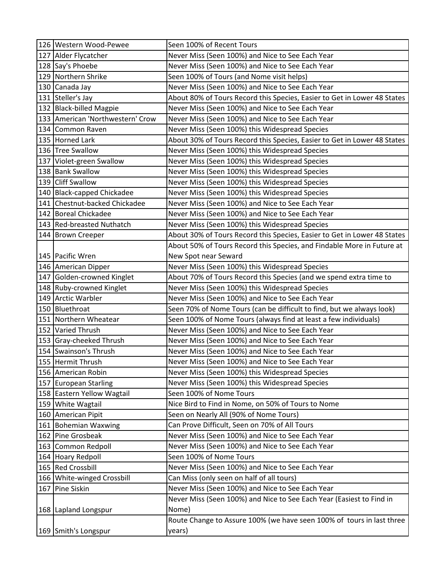| 127 Alder Flycatcher<br>Never Miss (Seen 100%) and Nice to See Each Year<br>128 Say's Phoebe<br>Never Miss (Seen 100%) and Nice to See Each Year<br>129 Northern Shrike<br>Seen 100% of Tours (and Nome visit helps)<br>130 Canada Jay<br>Never Miss (Seen 100%) and Nice to See Each Year<br>131 Steller's Jay<br>About 80% of Tours Record this Species, Easier to Get in Lower 48 States<br>Never Miss (Seen 100%) and Nice to See Each Year<br>132 Black-billed Magpie<br>133   American 'Northwestern' Crow<br>Never Miss (Seen 100%) and Nice to See Each Year<br>134 Common Raven<br>Never Miss (Seen 100%) this Widespread Species<br>135 Horned Lark<br>About 30% of Tours Record this Species, Easier to Get in Lower 48 States<br>136 Tree Swallow<br>Never Miss (Seen 100%) this Widespread Species<br>137 Violet-green Swallow<br>Never Miss (Seen 100%) this Widespread Species<br>138 Bank Swallow<br>Never Miss (Seen 100%) this Widespread Species<br>139 Cliff Swallow<br>Never Miss (Seen 100%) this Widespread Species<br>140 Black-capped Chickadee<br>Never Miss (Seen 100%) this Widespread Species<br>141 Chestnut-backed Chickadee<br>Never Miss (Seen 100%) and Nice to See Each Year<br>142 Boreal Chickadee<br>Never Miss (Seen 100%) and Nice to See Each Year<br>143 Red-breasted Nuthatch<br>Never Miss (Seen 100%) this Widespread Species<br>About 30% of Tours Record this Species, Easier to Get in Lower 48 States<br>144 Brown Creeper<br>About 50% of Tours Record this Species, and Findable More in Future at<br>145 Pacific Wren<br>New Spot near Seward<br>Never Miss (Seen 100%) this Widespread Species<br>146 American Dipper<br>About 70% of Tours Record this Species (and we spend extra time to<br>147 Golden-crowned Kinglet<br>Never Miss (Seen 100%) this Widespread Species<br>148 Ruby-crowned Kinglet<br>149 Arctic Warbler<br>Never Miss (Seen 100%) and Nice to See Each Year<br>Seen 70% of Nome Tours (can be difficult to find, but we always look)<br>150 Bluethroat<br>151 Northern Wheatear<br>Seen 100% of Nome Tours (always find at least a few individuals)<br>152 Varied Thrush<br>Never Miss (Seen 100%) and Nice to See Each Year<br>Never Miss (Seen 100%) and Nice to See Each Year<br>153 Gray-cheeked Thrush<br>154 Swainson's Thrush<br>Never Miss (Seen 100%) and Nice to See Each Year<br>155 Hermit Thrush<br>Never Miss (Seen 100%) and Nice to See Each Year<br>156 American Robin<br>Never Miss (Seen 100%) this Widespread Species<br>Never Miss (Seen 100%) this Widespread Species<br>157 European Starling<br>Seen 100% of Nome Tours<br>158 Eastern Yellow Wagtail<br>159 White Wagtail<br>Nice Bird to Find in Nome, on 50% of Tours to Nome<br>Seen on Nearly All (90% of Nome Tours)<br>160 American Pipit<br>Can Prove Difficult, Seen on 70% of All Tours<br>161 Bohemian Waxwing<br>162 Pine Grosbeak<br>Never Miss (Seen 100%) and Nice to See Each Year<br>Never Miss (Seen 100%) and Nice to See Each Year<br>163 Common Redpoll<br>Seen 100% of Nome Tours<br>164 Hoary Redpoll<br>165 Red Crossbill<br>Never Miss (Seen 100%) and Nice to See Each Year<br>166 White-winged Crossbill<br>Can Miss (only seen on half of all tours)<br>167 Pine Siskin<br>Never Miss (Seen 100%) and Nice to See Each Year<br>Never Miss (Seen 100%) and Nice to See Each Year (Easiest to Find in | 126 Western Wood-Pewee | Seen 100% of Recent Tours |
|------------------------------------------------------------------------------------------------------------------------------------------------------------------------------------------------------------------------------------------------------------------------------------------------------------------------------------------------------------------------------------------------------------------------------------------------------------------------------------------------------------------------------------------------------------------------------------------------------------------------------------------------------------------------------------------------------------------------------------------------------------------------------------------------------------------------------------------------------------------------------------------------------------------------------------------------------------------------------------------------------------------------------------------------------------------------------------------------------------------------------------------------------------------------------------------------------------------------------------------------------------------------------------------------------------------------------------------------------------------------------------------------------------------------------------------------------------------------------------------------------------------------------------------------------------------------------------------------------------------------------------------------------------------------------------------------------------------------------------------------------------------------------------------------------------------------------------------------------------------------------------------------------------------------------------------------------------------------------------------------------------------------------------------------------------------------------------------------------------------------------------------------------------------------------------------------------------------------------------------------------------------------------------------------------------------------------------------------------------------------------------------------------------------------------------------------------------------------------------------------------------------------------------------------------------------------------------------------------------------------------------------------------------------------------------------------------------------------------------------------------------------------------------------------------------------------------------------------------------------------------------------------------------------------------------------------------------------------------------------------------------------------------------------------------------------------------------------------------------------------------------------------------------------------------------------------------------------------------------------------------------------------------------------------------------------------------------------------------------------------------------|------------------------|---------------------------|
|                                                                                                                                                                                                                                                                                                                                                                                                                                                                                                                                                                                                                                                                                                                                                                                                                                                                                                                                                                                                                                                                                                                                                                                                                                                                                                                                                                                                                                                                                                                                                                                                                                                                                                                                                                                                                                                                                                                                                                                                                                                                                                                                                                                                                                                                                                                                                                                                                                                                                                                                                                                                                                                                                                                                                                                                                                                                                                                                                                                                                                                                                                                                                                                                                                                                                                                                                                                    |                        |                           |
|                                                                                                                                                                                                                                                                                                                                                                                                                                                                                                                                                                                                                                                                                                                                                                                                                                                                                                                                                                                                                                                                                                                                                                                                                                                                                                                                                                                                                                                                                                                                                                                                                                                                                                                                                                                                                                                                                                                                                                                                                                                                                                                                                                                                                                                                                                                                                                                                                                                                                                                                                                                                                                                                                                                                                                                                                                                                                                                                                                                                                                                                                                                                                                                                                                                                                                                                                                                    |                        |                           |
|                                                                                                                                                                                                                                                                                                                                                                                                                                                                                                                                                                                                                                                                                                                                                                                                                                                                                                                                                                                                                                                                                                                                                                                                                                                                                                                                                                                                                                                                                                                                                                                                                                                                                                                                                                                                                                                                                                                                                                                                                                                                                                                                                                                                                                                                                                                                                                                                                                                                                                                                                                                                                                                                                                                                                                                                                                                                                                                                                                                                                                                                                                                                                                                                                                                                                                                                                                                    |                        |                           |
|                                                                                                                                                                                                                                                                                                                                                                                                                                                                                                                                                                                                                                                                                                                                                                                                                                                                                                                                                                                                                                                                                                                                                                                                                                                                                                                                                                                                                                                                                                                                                                                                                                                                                                                                                                                                                                                                                                                                                                                                                                                                                                                                                                                                                                                                                                                                                                                                                                                                                                                                                                                                                                                                                                                                                                                                                                                                                                                                                                                                                                                                                                                                                                                                                                                                                                                                                                                    |                        |                           |
|                                                                                                                                                                                                                                                                                                                                                                                                                                                                                                                                                                                                                                                                                                                                                                                                                                                                                                                                                                                                                                                                                                                                                                                                                                                                                                                                                                                                                                                                                                                                                                                                                                                                                                                                                                                                                                                                                                                                                                                                                                                                                                                                                                                                                                                                                                                                                                                                                                                                                                                                                                                                                                                                                                                                                                                                                                                                                                                                                                                                                                                                                                                                                                                                                                                                                                                                                                                    |                        |                           |
|                                                                                                                                                                                                                                                                                                                                                                                                                                                                                                                                                                                                                                                                                                                                                                                                                                                                                                                                                                                                                                                                                                                                                                                                                                                                                                                                                                                                                                                                                                                                                                                                                                                                                                                                                                                                                                                                                                                                                                                                                                                                                                                                                                                                                                                                                                                                                                                                                                                                                                                                                                                                                                                                                                                                                                                                                                                                                                                                                                                                                                                                                                                                                                                                                                                                                                                                                                                    |                        |                           |
|                                                                                                                                                                                                                                                                                                                                                                                                                                                                                                                                                                                                                                                                                                                                                                                                                                                                                                                                                                                                                                                                                                                                                                                                                                                                                                                                                                                                                                                                                                                                                                                                                                                                                                                                                                                                                                                                                                                                                                                                                                                                                                                                                                                                                                                                                                                                                                                                                                                                                                                                                                                                                                                                                                                                                                                                                                                                                                                                                                                                                                                                                                                                                                                                                                                                                                                                                                                    |                        |                           |
|                                                                                                                                                                                                                                                                                                                                                                                                                                                                                                                                                                                                                                                                                                                                                                                                                                                                                                                                                                                                                                                                                                                                                                                                                                                                                                                                                                                                                                                                                                                                                                                                                                                                                                                                                                                                                                                                                                                                                                                                                                                                                                                                                                                                                                                                                                                                                                                                                                                                                                                                                                                                                                                                                                                                                                                                                                                                                                                                                                                                                                                                                                                                                                                                                                                                                                                                                                                    |                        |                           |
|                                                                                                                                                                                                                                                                                                                                                                                                                                                                                                                                                                                                                                                                                                                                                                                                                                                                                                                                                                                                                                                                                                                                                                                                                                                                                                                                                                                                                                                                                                                                                                                                                                                                                                                                                                                                                                                                                                                                                                                                                                                                                                                                                                                                                                                                                                                                                                                                                                                                                                                                                                                                                                                                                                                                                                                                                                                                                                                                                                                                                                                                                                                                                                                                                                                                                                                                                                                    |                        |                           |
|                                                                                                                                                                                                                                                                                                                                                                                                                                                                                                                                                                                                                                                                                                                                                                                                                                                                                                                                                                                                                                                                                                                                                                                                                                                                                                                                                                                                                                                                                                                                                                                                                                                                                                                                                                                                                                                                                                                                                                                                                                                                                                                                                                                                                                                                                                                                                                                                                                                                                                                                                                                                                                                                                                                                                                                                                                                                                                                                                                                                                                                                                                                                                                                                                                                                                                                                                                                    |                        |                           |
|                                                                                                                                                                                                                                                                                                                                                                                                                                                                                                                                                                                                                                                                                                                                                                                                                                                                                                                                                                                                                                                                                                                                                                                                                                                                                                                                                                                                                                                                                                                                                                                                                                                                                                                                                                                                                                                                                                                                                                                                                                                                                                                                                                                                                                                                                                                                                                                                                                                                                                                                                                                                                                                                                                                                                                                                                                                                                                                                                                                                                                                                                                                                                                                                                                                                                                                                                                                    |                        |                           |
|                                                                                                                                                                                                                                                                                                                                                                                                                                                                                                                                                                                                                                                                                                                                                                                                                                                                                                                                                                                                                                                                                                                                                                                                                                                                                                                                                                                                                                                                                                                                                                                                                                                                                                                                                                                                                                                                                                                                                                                                                                                                                                                                                                                                                                                                                                                                                                                                                                                                                                                                                                                                                                                                                                                                                                                                                                                                                                                                                                                                                                                                                                                                                                                                                                                                                                                                                                                    |                        |                           |
|                                                                                                                                                                                                                                                                                                                                                                                                                                                                                                                                                                                                                                                                                                                                                                                                                                                                                                                                                                                                                                                                                                                                                                                                                                                                                                                                                                                                                                                                                                                                                                                                                                                                                                                                                                                                                                                                                                                                                                                                                                                                                                                                                                                                                                                                                                                                                                                                                                                                                                                                                                                                                                                                                                                                                                                                                                                                                                                                                                                                                                                                                                                                                                                                                                                                                                                                                                                    |                        |                           |
|                                                                                                                                                                                                                                                                                                                                                                                                                                                                                                                                                                                                                                                                                                                                                                                                                                                                                                                                                                                                                                                                                                                                                                                                                                                                                                                                                                                                                                                                                                                                                                                                                                                                                                                                                                                                                                                                                                                                                                                                                                                                                                                                                                                                                                                                                                                                                                                                                                                                                                                                                                                                                                                                                                                                                                                                                                                                                                                                                                                                                                                                                                                                                                                                                                                                                                                                                                                    |                        |                           |
|                                                                                                                                                                                                                                                                                                                                                                                                                                                                                                                                                                                                                                                                                                                                                                                                                                                                                                                                                                                                                                                                                                                                                                                                                                                                                                                                                                                                                                                                                                                                                                                                                                                                                                                                                                                                                                                                                                                                                                                                                                                                                                                                                                                                                                                                                                                                                                                                                                                                                                                                                                                                                                                                                                                                                                                                                                                                                                                                                                                                                                                                                                                                                                                                                                                                                                                                                                                    |                        |                           |
|                                                                                                                                                                                                                                                                                                                                                                                                                                                                                                                                                                                                                                                                                                                                                                                                                                                                                                                                                                                                                                                                                                                                                                                                                                                                                                                                                                                                                                                                                                                                                                                                                                                                                                                                                                                                                                                                                                                                                                                                                                                                                                                                                                                                                                                                                                                                                                                                                                                                                                                                                                                                                                                                                                                                                                                                                                                                                                                                                                                                                                                                                                                                                                                                                                                                                                                                                                                    |                        |                           |
|                                                                                                                                                                                                                                                                                                                                                                                                                                                                                                                                                                                                                                                                                                                                                                                                                                                                                                                                                                                                                                                                                                                                                                                                                                                                                                                                                                                                                                                                                                                                                                                                                                                                                                                                                                                                                                                                                                                                                                                                                                                                                                                                                                                                                                                                                                                                                                                                                                                                                                                                                                                                                                                                                                                                                                                                                                                                                                                                                                                                                                                                                                                                                                                                                                                                                                                                                                                    |                        |                           |
|                                                                                                                                                                                                                                                                                                                                                                                                                                                                                                                                                                                                                                                                                                                                                                                                                                                                                                                                                                                                                                                                                                                                                                                                                                                                                                                                                                                                                                                                                                                                                                                                                                                                                                                                                                                                                                                                                                                                                                                                                                                                                                                                                                                                                                                                                                                                                                                                                                                                                                                                                                                                                                                                                                                                                                                                                                                                                                                                                                                                                                                                                                                                                                                                                                                                                                                                                                                    |                        |                           |
|                                                                                                                                                                                                                                                                                                                                                                                                                                                                                                                                                                                                                                                                                                                                                                                                                                                                                                                                                                                                                                                                                                                                                                                                                                                                                                                                                                                                                                                                                                                                                                                                                                                                                                                                                                                                                                                                                                                                                                                                                                                                                                                                                                                                                                                                                                                                                                                                                                                                                                                                                                                                                                                                                                                                                                                                                                                                                                                                                                                                                                                                                                                                                                                                                                                                                                                                                                                    |                        |                           |
|                                                                                                                                                                                                                                                                                                                                                                                                                                                                                                                                                                                                                                                                                                                                                                                                                                                                                                                                                                                                                                                                                                                                                                                                                                                                                                                                                                                                                                                                                                                                                                                                                                                                                                                                                                                                                                                                                                                                                                                                                                                                                                                                                                                                                                                                                                                                                                                                                                                                                                                                                                                                                                                                                                                                                                                                                                                                                                                                                                                                                                                                                                                                                                                                                                                                                                                                                                                    |                        |                           |
|                                                                                                                                                                                                                                                                                                                                                                                                                                                                                                                                                                                                                                                                                                                                                                                                                                                                                                                                                                                                                                                                                                                                                                                                                                                                                                                                                                                                                                                                                                                                                                                                                                                                                                                                                                                                                                                                                                                                                                                                                                                                                                                                                                                                                                                                                                                                                                                                                                                                                                                                                                                                                                                                                                                                                                                                                                                                                                                                                                                                                                                                                                                                                                                                                                                                                                                                                                                    |                        |                           |
|                                                                                                                                                                                                                                                                                                                                                                                                                                                                                                                                                                                                                                                                                                                                                                                                                                                                                                                                                                                                                                                                                                                                                                                                                                                                                                                                                                                                                                                                                                                                                                                                                                                                                                                                                                                                                                                                                                                                                                                                                                                                                                                                                                                                                                                                                                                                                                                                                                                                                                                                                                                                                                                                                                                                                                                                                                                                                                                                                                                                                                                                                                                                                                                                                                                                                                                                                                                    |                        |                           |
|                                                                                                                                                                                                                                                                                                                                                                                                                                                                                                                                                                                                                                                                                                                                                                                                                                                                                                                                                                                                                                                                                                                                                                                                                                                                                                                                                                                                                                                                                                                                                                                                                                                                                                                                                                                                                                                                                                                                                                                                                                                                                                                                                                                                                                                                                                                                                                                                                                                                                                                                                                                                                                                                                                                                                                                                                                                                                                                                                                                                                                                                                                                                                                                                                                                                                                                                                                                    |                        |                           |
|                                                                                                                                                                                                                                                                                                                                                                                                                                                                                                                                                                                                                                                                                                                                                                                                                                                                                                                                                                                                                                                                                                                                                                                                                                                                                                                                                                                                                                                                                                                                                                                                                                                                                                                                                                                                                                                                                                                                                                                                                                                                                                                                                                                                                                                                                                                                                                                                                                                                                                                                                                                                                                                                                                                                                                                                                                                                                                                                                                                                                                                                                                                                                                                                                                                                                                                                                                                    |                        |                           |
|                                                                                                                                                                                                                                                                                                                                                                                                                                                                                                                                                                                                                                                                                                                                                                                                                                                                                                                                                                                                                                                                                                                                                                                                                                                                                                                                                                                                                                                                                                                                                                                                                                                                                                                                                                                                                                                                                                                                                                                                                                                                                                                                                                                                                                                                                                                                                                                                                                                                                                                                                                                                                                                                                                                                                                                                                                                                                                                                                                                                                                                                                                                                                                                                                                                                                                                                                                                    |                        |                           |
|                                                                                                                                                                                                                                                                                                                                                                                                                                                                                                                                                                                                                                                                                                                                                                                                                                                                                                                                                                                                                                                                                                                                                                                                                                                                                                                                                                                                                                                                                                                                                                                                                                                                                                                                                                                                                                                                                                                                                                                                                                                                                                                                                                                                                                                                                                                                                                                                                                                                                                                                                                                                                                                                                                                                                                                                                                                                                                                                                                                                                                                                                                                                                                                                                                                                                                                                                                                    |                        |                           |
|                                                                                                                                                                                                                                                                                                                                                                                                                                                                                                                                                                                                                                                                                                                                                                                                                                                                                                                                                                                                                                                                                                                                                                                                                                                                                                                                                                                                                                                                                                                                                                                                                                                                                                                                                                                                                                                                                                                                                                                                                                                                                                                                                                                                                                                                                                                                                                                                                                                                                                                                                                                                                                                                                                                                                                                                                                                                                                                                                                                                                                                                                                                                                                                                                                                                                                                                                                                    |                        |                           |
|                                                                                                                                                                                                                                                                                                                                                                                                                                                                                                                                                                                                                                                                                                                                                                                                                                                                                                                                                                                                                                                                                                                                                                                                                                                                                                                                                                                                                                                                                                                                                                                                                                                                                                                                                                                                                                                                                                                                                                                                                                                                                                                                                                                                                                                                                                                                                                                                                                                                                                                                                                                                                                                                                                                                                                                                                                                                                                                                                                                                                                                                                                                                                                                                                                                                                                                                                                                    |                        |                           |
|                                                                                                                                                                                                                                                                                                                                                                                                                                                                                                                                                                                                                                                                                                                                                                                                                                                                                                                                                                                                                                                                                                                                                                                                                                                                                                                                                                                                                                                                                                                                                                                                                                                                                                                                                                                                                                                                                                                                                                                                                                                                                                                                                                                                                                                                                                                                                                                                                                                                                                                                                                                                                                                                                                                                                                                                                                                                                                                                                                                                                                                                                                                                                                                                                                                                                                                                                                                    |                        |                           |
|                                                                                                                                                                                                                                                                                                                                                                                                                                                                                                                                                                                                                                                                                                                                                                                                                                                                                                                                                                                                                                                                                                                                                                                                                                                                                                                                                                                                                                                                                                                                                                                                                                                                                                                                                                                                                                                                                                                                                                                                                                                                                                                                                                                                                                                                                                                                                                                                                                                                                                                                                                                                                                                                                                                                                                                                                                                                                                                                                                                                                                                                                                                                                                                                                                                                                                                                                                                    |                        |                           |
|                                                                                                                                                                                                                                                                                                                                                                                                                                                                                                                                                                                                                                                                                                                                                                                                                                                                                                                                                                                                                                                                                                                                                                                                                                                                                                                                                                                                                                                                                                                                                                                                                                                                                                                                                                                                                                                                                                                                                                                                                                                                                                                                                                                                                                                                                                                                                                                                                                                                                                                                                                                                                                                                                                                                                                                                                                                                                                                                                                                                                                                                                                                                                                                                                                                                                                                                                                                    |                        |                           |
|                                                                                                                                                                                                                                                                                                                                                                                                                                                                                                                                                                                                                                                                                                                                                                                                                                                                                                                                                                                                                                                                                                                                                                                                                                                                                                                                                                                                                                                                                                                                                                                                                                                                                                                                                                                                                                                                                                                                                                                                                                                                                                                                                                                                                                                                                                                                                                                                                                                                                                                                                                                                                                                                                                                                                                                                                                                                                                                                                                                                                                                                                                                                                                                                                                                                                                                                                                                    |                        |                           |
|                                                                                                                                                                                                                                                                                                                                                                                                                                                                                                                                                                                                                                                                                                                                                                                                                                                                                                                                                                                                                                                                                                                                                                                                                                                                                                                                                                                                                                                                                                                                                                                                                                                                                                                                                                                                                                                                                                                                                                                                                                                                                                                                                                                                                                                                                                                                                                                                                                                                                                                                                                                                                                                                                                                                                                                                                                                                                                                                                                                                                                                                                                                                                                                                                                                                                                                                                                                    |                        |                           |
|                                                                                                                                                                                                                                                                                                                                                                                                                                                                                                                                                                                                                                                                                                                                                                                                                                                                                                                                                                                                                                                                                                                                                                                                                                                                                                                                                                                                                                                                                                                                                                                                                                                                                                                                                                                                                                                                                                                                                                                                                                                                                                                                                                                                                                                                                                                                                                                                                                                                                                                                                                                                                                                                                                                                                                                                                                                                                                                                                                                                                                                                                                                                                                                                                                                                                                                                                                                    |                        |                           |
|                                                                                                                                                                                                                                                                                                                                                                                                                                                                                                                                                                                                                                                                                                                                                                                                                                                                                                                                                                                                                                                                                                                                                                                                                                                                                                                                                                                                                                                                                                                                                                                                                                                                                                                                                                                                                                                                                                                                                                                                                                                                                                                                                                                                                                                                                                                                                                                                                                                                                                                                                                                                                                                                                                                                                                                                                                                                                                                                                                                                                                                                                                                                                                                                                                                                                                                                                                                    |                        |                           |
|                                                                                                                                                                                                                                                                                                                                                                                                                                                                                                                                                                                                                                                                                                                                                                                                                                                                                                                                                                                                                                                                                                                                                                                                                                                                                                                                                                                                                                                                                                                                                                                                                                                                                                                                                                                                                                                                                                                                                                                                                                                                                                                                                                                                                                                                                                                                                                                                                                                                                                                                                                                                                                                                                                                                                                                                                                                                                                                                                                                                                                                                                                                                                                                                                                                                                                                                                                                    |                        |                           |
|                                                                                                                                                                                                                                                                                                                                                                                                                                                                                                                                                                                                                                                                                                                                                                                                                                                                                                                                                                                                                                                                                                                                                                                                                                                                                                                                                                                                                                                                                                                                                                                                                                                                                                                                                                                                                                                                                                                                                                                                                                                                                                                                                                                                                                                                                                                                                                                                                                                                                                                                                                                                                                                                                                                                                                                                                                                                                                                                                                                                                                                                                                                                                                                                                                                                                                                                                                                    |                        |                           |
|                                                                                                                                                                                                                                                                                                                                                                                                                                                                                                                                                                                                                                                                                                                                                                                                                                                                                                                                                                                                                                                                                                                                                                                                                                                                                                                                                                                                                                                                                                                                                                                                                                                                                                                                                                                                                                                                                                                                                                                                                                                                                                                                                                                                                                                                                                                                                                                                                                                                                                                                                                                                                                                                                                                                                                                                                                                                                                                                                                                                                                                                                                                                                                                                                                                                                                                                                                                    |                        |                           |
|                                                                                                                                                                                                                                                                                                                                                                                                                                                                                                                                                                                                                                                                                                                                                                                                                                                                                                                                                                                                                                                                                                                                                                                                                                                                                                                                                                                                                                                                                                                                                                                                                                                                                                                                                                                                                                                                                                                                                                                                                                                                                                                                                                                                                                                                                                                                                                                                                                                                                                                                                                                                                                                                                                                                                                                                                                                                                                                                                                                                                                                                                                                                                                                                                                                                                                                                                                                    |                        |                           |
|                                                                                                                                                                                                                                                                                                                                                                                                                                                                                                                                                                                                                                                                                                                                                                                                                                                                                                                                                                                                                                                                                                                                                                                                                                                                                                                                                                                                                                                                                                                                                                                                                                                                                                                                                                                                                                                                                                                                                                                                                                                                                                                                                                                                                                                                                                                                                                                                                                                                                                                                                                                                                                                                                                                                                                                                                                                                                                                                                                                                                                                                                                                                                                                                                                                                                                                                                                                    |                        |                           |
|                                                                                                                                                                                                                                                                                                                                                                                                                                                                                                                                                                                                                                                                                                                                                                                                                                                                                                                                                                                                                                                                                                                                                                                                                                                                                                                                                                                                                                                                                                                                                                                                                                                                                                                                                                                                                                                                                                                                                                                                                                                                                                                                                                                                                                                                                                                                                                                                                                                                                                                                                                                                                                                                                                                                                                                                                                                                                                                                                                                                                                                                                                                                                                                                                                                                                                                                                                                    |                        |                           |
|                                                                                                                                                                                                                                                                                                                                                                                                                                                                                                                                                                                                                                                                                                                                                                                                                                                                                                                                                                                                                                                                                                                                                                                                                                                                                                                                                                                                                                                                                                                                                                                                                                                                                                                                                                                                                                                                                                                                                                                                                                                                                                                                                                                                                                                                                                                                                                                                                                                                                                                                                                                                                                                                                                                                                                                                                                                                                                                                                                                                                                                                                                                                                                                                                                                                                                                                                                                    |                        |                           |
|                                                                                                                                                                                                                                                                                                                                                                                                                                                                                                                                                                                                                                                                                                                                                                                                                                                                                                                                                                                                                                                                                                                                                                                                                                                                                                                                                                                                                                                                                                                                                                                                                                                                                                                                                                                                                                                                                                                                                                                                                                                                                                                                                                                                                                                                                                                                                                                                                                                                                                                                                                                                                                                                                                                                                                                                                                                                                                                                                                                                                                                                                                                                                                                                                                                                                                                                                                                    |                        |                           |
| 168 Lapland Longspur                                                                                                                                                                                                                                                                                                                                                                                                                                                                                                                                                                                                                                                                                                                                                                                                                                                                                                                                                                                                                                                                                                                                                                                                                                                                                                                                                                                                                                                                                                                                                                                                                                                                                                                                                                                                                                                                                                                                                                                                                                                                                                                                                                                                                                                                                                                                                                                                                                                                                                                                                                                                                                                                                                                                                                                                                                                                                                                                                                                                                                                                                                                                                                                                                                                                                                                                                               |                        | Nome)                     |
| Route Change to Assure 100% (we have seen 100% of tours in last three                                                                                                                                                                                                                                                                                                                                                                                                                                                                                                                                                                                                                                                                                                                                                                                                                                                                                                                                                                                                                                                                                                                                                                                                                                                                                                                                                                                                                                                                                                                                                                                                                                                                                                                                                                                                                                                                                                                                                                                                                                                                                                                                                                                                                                                                                                                                                                                                                                                                                                                                                                                                                                                                                                                                                                                                                                                                                                                                                                                                                                                                                                                                                                                                                                                                                                              |                        |                           |
| 169 Smith's Longspur<br>years)                                                                                                                                                                                                                                                                                                                                                                                                                                                                                                                                                                                                                                                                                                                                                                                                                                                                                                                                                                                                                                                                                                                                                                                                                                                                                                                                                                                                                                                                                                                                                                                                                                                                                                                                                                                                                                                                                                                                                                                                                                                                                                                                                                                                                                                                                                                                                                                                                                                                                                                                                                                                                                                                                                                                                                                                                                                                                                                                                                                                                                                                                                                                                                                                                                                                                                                                                     |                        |                           |